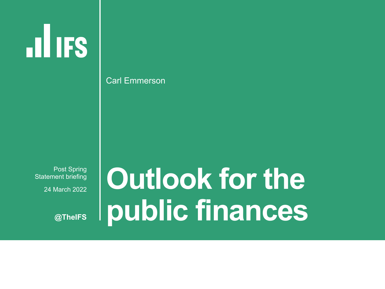§ Post Spring Statement briefing § 24 March 2022

**@TheIFS**

# **Outlook for the public finances**

Carl Emmerson

**ILLIFS**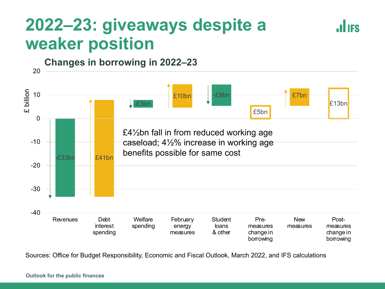### **2022–23: giveaways despite a weaker position**



**JULIES** 

Sources: Office for Budget Responsibility, Economic and Fiscal Outlook, March 2022, and IFS calculations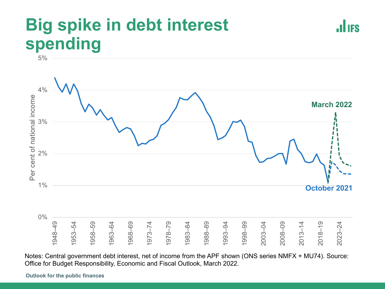### **Big spike in debt interest spending**



 $4%$ Per cent of national income Per cent of national income **March 2022**3% 2% 1% **October 2021** 0% ନ<br>ମ –54 –<br>1<br>1 –64 –69 –74 –79<br>– –84 ခု न<br>न ခု –04 ၉<br>၁  $\frac{4}{1}$ –<br>၂ –24 1948 1953 1958 1963 1968 1973 1978 1983 1988 1993 1998 2003 2008 2013 2018 2023

Notes: Central government debt interest, net of income from the APF shown (ONS series NMFX + MU74). Source: Office for Budget Responsibility, Economic and Fiscal Outlook, March 2022.

**Outlook for the public finances**

5%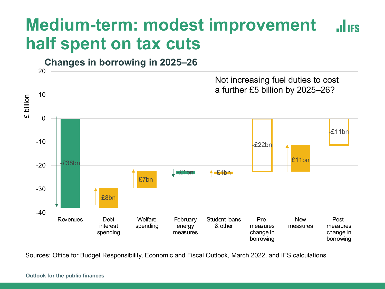### **Medium-term: modest improvement JULIES half spent on tax cuts**



Sources: Office for Budget Responsibility, Economic and Fiscal Outlook, March 2022, and IFS calculations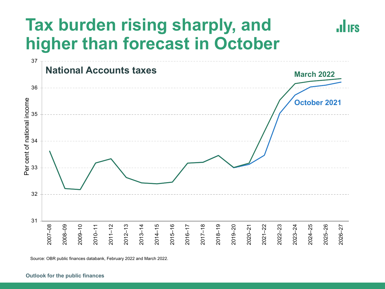## **Tax burden rising sharply, and higher than forecast in October**



**.ILIFS** 

Source: OBR public finances databank, February 2022 and March 2022.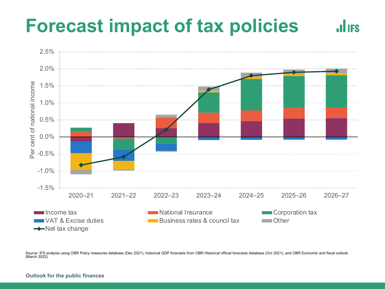### **Forecast impact of tax policies JULIES**



Source: IFS analysis using OBR Policy measures database (Dec 2021), historical GDP forecasts from OBR Historical official forecasts database (Oct 2021), and OBR Economic and fiscal outlook (March 2022).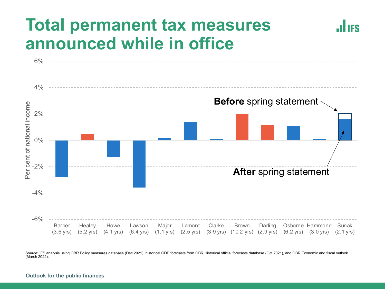### **Total permanent tax measures announced while in office**



**IIES** 

Source: IFS analysis using OBR Policy measures database (Dec 2021), historical GDP forecasts from OBR Historical official forecasts database (Oct 2021), and OBR Economic and fiscal outlook (March 2022).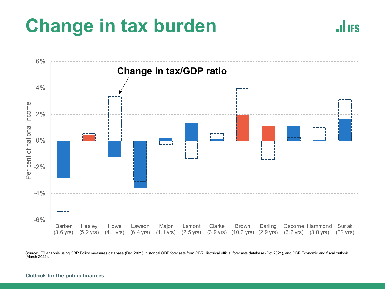# **Change in tax burden**





Source: IFS analysis using OBR Policy measures database (Dec 2021), historical GDP forecasts from OBR Historical official forecasts database (Oct 2021), and OBR Economic and fiscal outlook (March 2022).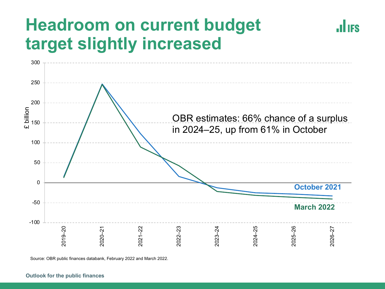### **Headroom on current budget target slightly increased**



**JULIES** 

Source: OBR public finances databank, February 2022 and March 2022.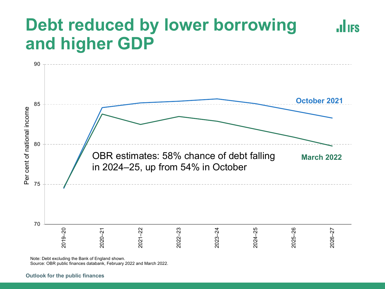### **Debt reduced by lower borrowing .ILIES and higher GDP**



Note: Debt excluding the Bank of England shown.

Source: OBR public finances databank, February 2022 and March 2022.